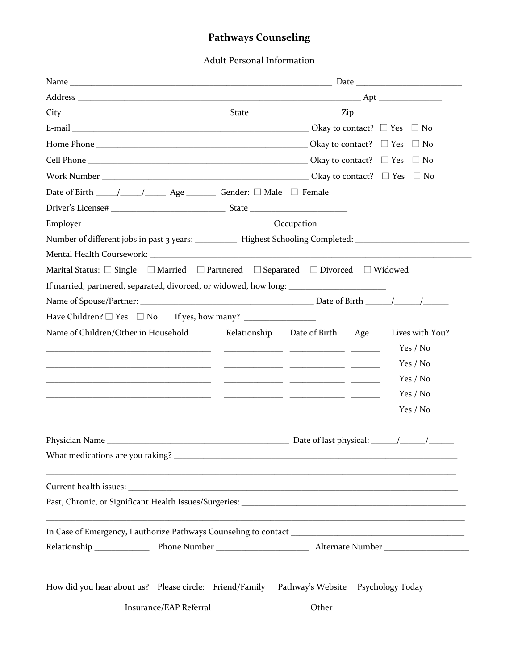## **Pathways Counseling**

Adult Personal Information

|                                                                                                                                                                                                                               |  |                                   | $\Box$ No       |  |  |
|-------------------------------------------------------------------------------------------------------------------------------------------------------------------------------------------------------------------------------|--|-----------------------------------|-----------------|--|--|
|                                                                                                                                                                                                                               |  |                                   |                 |  |  |
| Date of Birth _____/_____/______ Age _________ Gender: □ Male □ Female                                                                                                                                                        |  |                                   |                 |  |  |
|                                                                                                                                                                                                                               |  |                                   |                 |  |  |
|                                                                                                                                                                                                                               |  |                                   |                 |  |  |
|                                                                                                                                                                                                                               |  |                                   |                 |  |  |
|                                                                                                                                                                                                                               |  |                                   |                 |  |  |
| Marital Status: □ Single □ Married □ Partnered □ Separated □ Divorced □ Widowed                                                                                                                                               |  |                                   |                 |  |  |
| If married, partnered, separated, divorced, or widowed, how long: _______________                                                                                                                                             |  |                                   |                 |  |  |
|                                                                                                                                                                                                                               |  |                                   |                 |  |  |
|                                                                                                                                                                                                                               |  |                                   |                 |  |  |
| Name of Children/Other in Household                                                                                                                                                                                           |  | Relationship Date of Birth<br>Age | Lives with You? |  |  |
| the contract of the contract of the contract of the contract of the contract of                                                                                                                                               |  |                                   | Yes / No        |  |  |
|                                                                                                                                                                                                                               |  |                                   | Yes / No        |  |  |
| the control of the control of the control of the control of the control of the control of the control of the control of the control of the control of the control of the control of the control of the control of the control |  |                                   | Yes / No        |  |  |
| <u> 1999 - Jan James James (f. 1989)</u>                                                                                                                                                                                      |  |                                   | Yes / No        |  |  |
| <u> 1999 - Jan James James, politik fizikar (h. 1989).</u>                                                                                                                                                                    |  |                                   | Yes / No        |  |  |
|                                                                                                                                                                                                                               |  |                                   |                 |  |  |
|                                                                                                                                                                                                                               |  |                                   |                 |  |  |
|                                                                                                                                                                                                                               |  |                                   |                 |  |  |
|                                                                                                                                                                                                                               |  |                                   |                 |  |  |
|                                                                                                                                                                                                                               |  |                                   |                 |  |  |
|                                                                                                                                                                                                                               |  |                                   |                 |  |  |
|                                                                                                                                                                                                                               |  |                                   |                 |  |  |
|                                                                                                                                                                                                                               |  |                                   |                 |  |  |
|                                                                                                                                                                                                                               |  |                                   |                 |  |  |
|                                                                                                                                                                                                                               |  |                                   |                 |  |  |
| How did you hear about us? Please circle: Friend/Family Pathway's Website Psychology Today                                                                                                                                    |  |                                   |                 |  |  |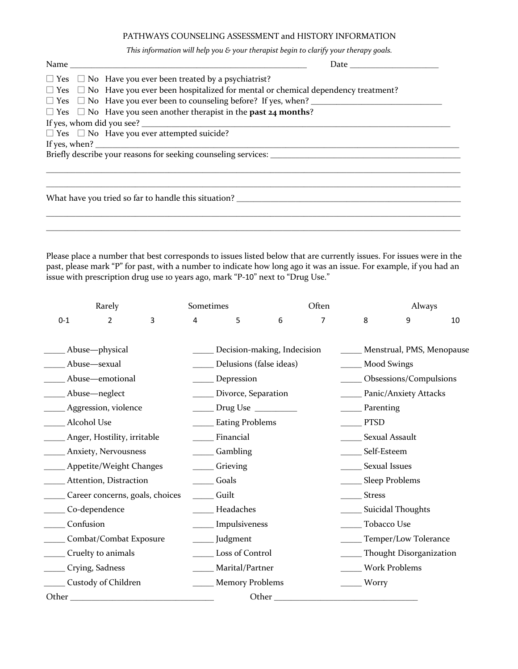## PATHWAYS COUNSELING ASSESSMENT and HISTORY INFORMATION

*This information will help you & your therapist begin to clarify your therapy goals.* 

| $\Box$ Yes $\Box$ No Have you ever been treated by a psychiatrist?                                |
|---------------------------------------------------------------------------------------------------|
| $\Box$ Yes $\Box$ No Have you ever been hospitalized for mental or chemical dependency treatment? |
| $\square$ Yes $\square$ No Have you ever been to counseling before? If yes, when?                 |
| $\Box$ Yes $\Box$ No Have you seen another therapist in the <b>past 24 months</b> ?               |
|                                                                                                   |
| $\Box$ Yes $\Box$ No Have you ever attempted suicide?                                             |
|                                                                                                   |
|                                                                                                   |
|                                                                                                   |
|                                                                                                   |
|                                                                                                   |
|                                                                                                   |

Please place a number that best corresponds to issues listed below that are currently issues. For issues were in the past, please mark "P" for past, with a number to indicate how long ago it was an issue. For example, if you had an issue with prescription drug use 10 years ago, mark "P-10" next to "Drug Use."

 $\_$  , and the set of the set of the set of the set of the set of the set of the set of the set of the set of the set of the set of the set of the set of the set of the set of the set of the set of the set of the set of th

|                                        | Rarely                      |                         | Sometimes                                       |                             |                         | Often                    |                       | Always                    |    |  |
|----------------------------------------|-----------------------------|-------------------------|-------------------------------------------------|-----------------------------|-------------------------|--------------------------|-----------------------|---------------------------|----|--|
| $0 - 1$                                | $\overline{2}$              | 3                       | 4                                               | 5                           | 6                       | $\overline{7}$           | 8                     | 9                         | 10 |  |
|                                        | Abuse-physical              |                         |                                                 | Decision-making, Indecision |                         |                          |                       | Menstrual, PMS, Menopause |    |  |
| Abuse-sexual                           |                             | Delusions (false ideas) |                                                 |                             |                         | <b>Mood Swings</b>       |                       |                           |    |  |
| Abuse-emotional                        |                             | Depression              |                                                 |                             |                         | Obsessions/Compulsions   |                       |                           |    |  |
|                                        | Abuse-neglect               |                         |                                                 | Divorce, Separation         |                         |                          | Panic/Anxiety Attacks |                           |    |  |
|                                        | Aggression, violence        |                         | Drug Use $\_\_\_\_\_\_\_\_\_\_\_\_\_\_\_\_\_\_$ |                             |                         |                          | Parenting             |                           |    |  |
|                                        | Alcohol Use                 |                         | <b>Eating Problems</b>                          |                             |                         |                          | <b>PTSD</b>           |                           |    |  |
|                                        | Anger, Hostility, irritable |                         |                                                 | Financial                   |                         |                          | Sexual Assault        |                           |    |  |
| <b>Example 21 Anxiety, Nervousness</b> |                             | Gambling                |                                                 |                             |                         | Self-Esteem              |                       |                           |    |  |
|                                        | ___ Appetite/Weight Changes |                         | Grieving                                        |                             |                         |                          | _____ Sexual Issues   |                           |    |  |
|                                        | Attention, Distraction      |                         | Goals                                           |                             |                         | Sleep Problems           |                       |                           |    |  |
| Career concerns, goals, choices        |                             | Guilt                   |                                                 |                             |                         | <b>Stress</b>            |                       |                           |    |  |
| Co-dependence                          |                             | Headaches               |                                                 |                             |                         | <b>Suicidal Thoughts</b> |                       |                           |    |  |
| Confusion                              |                             | Impulsiveness           |                                                 |                             | Tobacco Use             |                          |                       |                           |    |  |
| Combat/Combat Exposure                 |                             | Judgment                |                                                 |                             | Temper/Low Tolerance    |                          |                       |                           |    |  |
| Cruelty to animals                     |                             | Loss of Control         |                                                 |                             | Thought Disorganization |                          |                       |                           |    |  |
|                                        | Crying, Sadness             |                         |                                                 | Marital/Partner             | Work Problems           |                          |                       |                           |    |  |
|                                        | Custody of Children         |                         |                                                 | <b>Memory Problems</b>      |                         |                          | Worry                 |                           |    |  |
| Other                                  |                             |                         |                                                 |                             | Other                   |                          |                       |                           |    |  |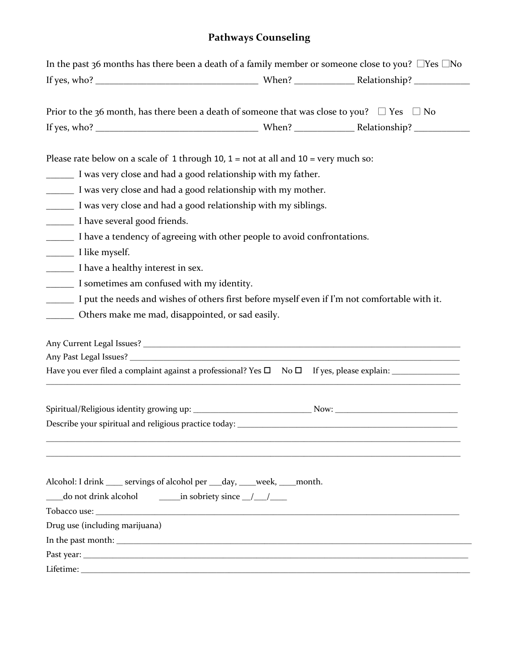## **Pathways Counseling**

| In the past 36 months has there been a death of a family member or someone close to you? $\Box$ Yes $\Box$ No |  |
|---------------------------------------------------------------------------------------------------------------|--|
|                                                                                                               |  |
|                                                                                                               |  |
| Prior to the 36 month, has there been a death of someone that was close to you? $\Box$ Yes $\Box$ No          |  |
|                                                                                                               |  |
| Please rate below on a scale of 1 through 10, $1 = not$ at all and $10 = very$ much so:                       |  |
| I was very close and had a good relationship with my father.                                                  |  |
| I was very close and had a good relationship with my mother.                                                  |  |
| I was very close and had a good relationship with my siblings.                                                |  |
| I have several good friends.                                                                                  |  |
| I have a tendency of agreeing with other people to avoid confrontations.                                      |  |
|                                                                                                               |  |
| I have a healthy interest in sex.                                                                             |  |
| I sometimes am confused with my identity.                                                                     |  |
| I put the needs and wishes of others first before myself even if I'm not comfortable with it.                 |  |
| ________ Others make me mad, disappointed, or sad easily.                                                     |  |
|                                                                                                               |  |
|                                                                                                               |  |
|                                                                                                               |  |
|                                                                                                               |  |
|                                                                                                               |  |
|                                                                                                               |  |
|                                                                                                               |  |
|                                                                                                               |  |
|                                                                                                               |  |
|                                                                                                               |  |
| Alcohol: I drink ____ servings of alcohol per ___ day, ____ week, ____ month.<br>do not drink alcohol         |  |
| $\frac{1}{\sqrt{2}}$ in sobriety since $\frac{1}{\sqrt{2}}$                                                   |  |
| Drug use (including marijuana)                                                                                |  |
|                                                                                                               |  |
|                                                                                                               |  |
|                                                                                                               |  |
|                                                                                                               |  |